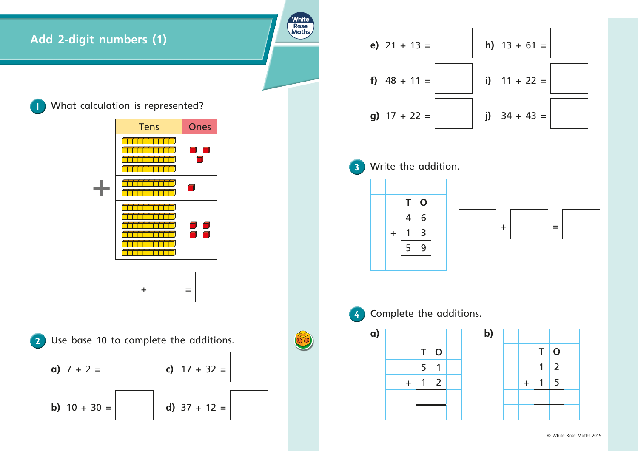





|  |         | Т | $\mathbf 0$    |  |
|--|---------|---|----------------|--|
|  |         | 5 | 1              |  |
|  | $\ddag$ |   | $\overline{2}$ |  |
|  |         |   |                |  |
|  |         |   |                |  |